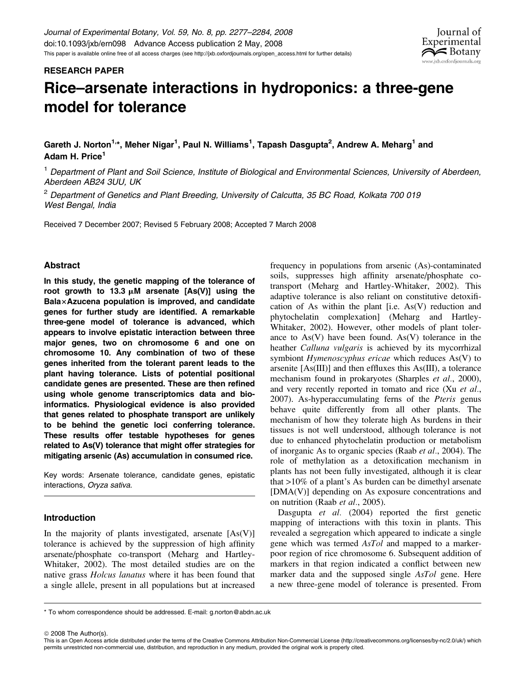

# RESEARCH PAPER

# Rice–arsenate interactions in hydroponics: a three-gene model for tolerance

Gareth J. Norton<sup>1,</sup>\*, Meher Nigar<sup>1</sup>, Paul N. Williams<sup>1</sup>, Tapash Dasgupta<sup>2</sup>, Andrew A. Meharg<sup>1</sup> and Adam H. Price<sup>1</sup>

<sup>1</sup> Department of Plant and Soil Science, Institute of Biological and Environmental Sciences, University of Aberdeen, Aberdeen AB24 3UU, UK

 $2$  Department of Genetics and Plant Breeding, University of Calcutta, 35 BC Road, Kolkata 700 019 West Bengal, India

Received 7 December 2007; Revised 5 February 2008; Accepted 7 March 2008

## Abstract

In this study, the genetic mapping of the tolerance of root growth to 13.3  $\mu$ M arsenate [As(V)] using the  $B$ ala $\times$ Azucena population is improved, and candidate genes for further study are identified. A remarkable three-gene model of tolerance is advanced, which appears to involve epistatic interaction between three major genes, two on chromosome 6 and one on chromosome 10. Any combination of two of these genes inherited from the tolerant parent leads to the plant having tolerance. Lists of potential positional candidate genes are presented. These are then refined using whole genome transcriptomics data and bioinformatics. Physiological evidence is also provided that genes related to phosphate transport are unlikely to be behind the genetic loci conferring tolerance. These results offer testable hypotheses for genes related to As(V) tolerance that might offer strategies for mitigating arsenic (As) accumulation in consumed rice.

Key words: Arsenate tolerance, candidate genes, epistatic interactions, Oryza sativa.

## Introduction

In the majority of plants investigated, arsenate  $[As(V)]$ tolerance is achieved by the suppression of high affinity arsenate/phosphate co-transport (Meharg and Hartley-Whitaker, 2002). The most detailed studies are on the native grass Holcus lanatus where it has been found that a single allele, present in all populations but at increased

frequency in populations from arsenic (As)-contaminated soils, suppresses high affinity arsenate/phosphate cotransport (Meharg and Hartley-Whitaker, 2002). This adaptive tolerance is also reliant on constitutive detoxification of As within the plant [i.e. As(V) reduction and phytochelatin complexation] (Meharg and Hartley-Whitaker, 2002). However, other models of plant tolerance to  $As(V)$  have been found.  $As(V)$  tolerance in the heather Calluna vulgaris is achieved by its mycorrhizal symbiont *Hymenoscyphus ericae* which reduces As(V) to arsenite [As(III)] and then effluxes this As(III), a tolerance mechanism found in prokaryotes (Sharples *et al.*, 2000), and very recently reported in tomato and rice (Xu et al., 2007). As-hyperaccumulating ferns of the *Pteris* genus behave quite differently from all other plants. The mechanism of how they tolerate high As burdens in their tissues is not well understood, although tolerance is not due to enhanced phytochelatin production or metabolism of inorganic As to organic species (Raab et al., 2004). The role of methylation as a detoxification mechanism in plants has not been fully investigated, although it is clear that >10% of a plant's As burden can be dimethyl arsenate [DMA(V)] depending on As exposure concentrations and on nutrition (Raab et al., 2005).

Dasgupta *et al.* (2004) reported the first genetic mapping of interactions with this toxin in plants. This revealed a segregation which appeared to indicate a single gene which was termed AsTol and mapped to a markerpoor region of rice chromosome 6. Subsequent addition of markers in that region indicated a conflict between new marker data and the supposed single AsTol gene. Here a new three-gene model of tolerance is presented. From

 $@$  2008 The Author(s).

<sup>\*</sup> To whom correspondence should be addressed. E-mail: g.norton@abdn.ac.uk

This is an Open Access article distributed under the terms of the Creative Commons Attribution Non-Commercial License [\(http://creativecommons.org/licenses/by-nc/2.0/uk/](http://creativecommons.org/licenses/by-nc/2.0/uk)) which permits unrestricted non-commercial use, distribution, and reproduction in any medium, provided the original work is properly cited.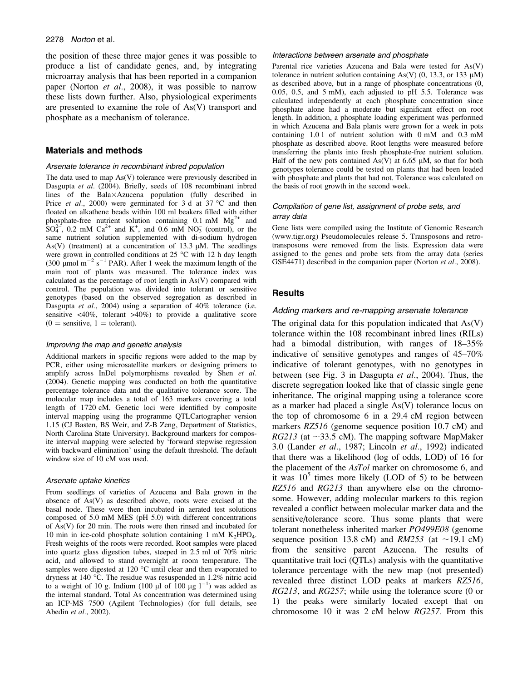#### 2278 Norton et al.

the position of these three major genes it was possible to produce a list of candidate genes, and, by integrating microarray analysis that has been reported in a companion paper (Norton et al., 2008), it was possible to narrow these lists down further. Also, physiological experiments are presented to examine the role of As(V) transport and phosphate as a mechanism of tolerance.

## Materials and methods

#### Arsenate tolerance in recombinant inbred population

The data used to map As(V) tolerance were previously described in Dasgupta et al. (2004). Briefly, seeds of 108 recombinant inbred lines of the Bala×Azucena population (fully described in Price *et al.*, 2000) were germinated for 3 d at 37  $^{\circ}$ C and then floated on alkathene beads within 100 ml beakers filled with either phosphate-free nutrient solution containing  $0.1 \text{ mM} \text{ Mg}^{2+}$  and  $SO_4^{2-}$ , 0.2 mM  $Ca^{2+}$  and K<sup>+</sup>, and 0.6 mM NO<sub>3</sub> (control), or the same nutrient solution supplemented with di-sodium hydrogen As(V) (treatment) at a concentration of 13.3  $\mu$ M. The seedlings were grown in controlled conditions at  $25^{\circ}$ C with 12 h day length (300 µmol m<sup>-2</sup> s<sup>-1</sup> PAR). After 1 week the maximum length of the main root of plants was measured. The tolerance index was calculated as the percentage of root length in As(V) compared with control. The population was divided into tolerant or sensitive genotypes (based on the observed segregation as described in Dasgupta et al., 2004) using a separation of 40% tolerance (i.e. sensitive  $\langle 40\%, \text{ tolerant } > 40\% \rangle$  to provide a qualitative score  $(0 =$  sensitive,  $1 =$  tolerant).

#### Improving the map and genetic analysis

Additional markers in specific regions were added to the map by PCR, either using microsatellite markers or designing primers to amplify across InDel polymorphisms revealed by Shen et al. (2004). Genetic mapping was conducted on both the quantitative percentage tolerance data and the qualitative tolerance score. The molecular map includes a total of 163 markers covering a total length of 1720 cM. Genetic loci were identified by composite interval mapping using the programme QTLCartographer version 1.15 (CJ Basten, BS Weir, and Z-B Zeng, Department of Statistics, North Carolina State University). Background markers for composite interval mapping were selected by 'forward stepwise regression with backward elimination' using the default threshold. The default window size of 10 cM was used.

#### Arsenate uptake kinetics

From seedlings of varieties of Azucena and Bala grown in the absence of As(V) as described above, roots were excised at the basal node. These were then incubated in aerated test solutions composed of 5.0 mM MES (pH 5.0) with different concentrations of As(V) for 20 min. The roots were then rinsed and incubated for 10 min in ice-cold phosphate solution containing 1 mM  $K_2HPO_4$ . Fresh weights of the roots were recorded. Root samples were placed into quartz glass digestion tubes, steeped in 2.5 ml of 70% nitric acid, and allowed to stand overnight at room temperature. The samples were digested at 120 $\degree$ C until clear and then evaporated to dryness at 140 °C. The residue was resuspended in  $1.2\%$  nitric acid to a weight of 10 g. Indium (100  $\mu$ l of 100  $\mu$ g l<sup>-1</sup>) was added as the internal standard. Total As concentration was determined using an ICP-MS 7500 (Agilent Technologies) (for full details, see Abedin et al., 2002).

#### Interactions between arsenate and phosphate

Parental rice varieties Azucena and Bala were tested for As(V) tolerance in nutrient solution containing As(V)  $(0, 13.3, \text{ or } 133 \mu M)$ as described above, but in a range of phosphate concentrations (0, 0.05, 0.5, and 5 mM), each adjusted to pH 5.5. Tolerance was calculated independently at each phosphate concentration since phosphate alone had a moderate but significant effect on root length. In addition, a phosphate loading experiment was performed in which Azucena and Bala plants were grown for a week in pots containing 1.0 l of nutrient solution with 0 mM and 0.3 mM phosphate as described above. Root lengths were measured before transferring the plants into fresh phosphate-free nutrient solution. Half of the new pots contained  $As(V)$  at 6.65 µM, so that for both genotypes tolerance could be tested on plants that had been loaded with phosphate and plants that had not. Tolerance was calculated on the basis of root growth in the second week.

## Compilation of gene list, assignment of probe sets, and array data

Gene lists were compiled using the Institute of Genomic Research [\(www.tigr.org\)](www.tigr.org) Pseudomolecules release 5. Transposons and retrotransposons were removed from the lists. Expression data were assigned to the genes and probe sets from the array data (series GSE4471) described in the companion paper (Norton et al., 2008).

## **Results**

#### Adding markers and re-mapping arsenate tolerance

The original data for this population indicated that  $As(V)$ tolerance within the 108 recombinant inbred lines (RILs) had a bimodal distribution, with ranges of 18–35% indicative of sensitive genotypes and ranges of 45–70% indicative of tolerant genotypes, with no genotypes in between (see Fig. 3 in Dasgupta et al., 2004). Thus, the discrete segregation looked like that of classic single gene inheritance. The original mapping using a tolerance score as a marker had placed a single As(V) tolerance locus on the top of chromosome 6 in a 29.4 cM region between markers RZ516 (genome sequence position 10.7 cM) and RG213 (at  $\sim$ 33.5 cM). The mapping software MapMaker 3.0 (Lander et al., 1987; Lincoln et al., 1992) indicated that there was a likelihood (log of odds, LOD) of 16 for the placement of the AsTol marker on chromosome 6, and it was  $10^5$  times more likely (LOD of 5) to be between RZ516 and RG213 than anywhere else on the chromosome. However, adding molecular markers to this region revealed a conflict between molecular marker data and the sensitive/tolerance score. Thus some plants that were tolerant nonetheless inherited marker PO499E08 (genome sequence position 13.8 cM) and  $RM253$  (at  $\sim$ 19.1 cM) from the sensitive parent Azucena. The results of quantitative trait loci (QTLs) analysis with the quantitative tolerance percentage with the new map (not presented) revealed three distinct LOD peaks at markers RZ516, RG213, and RG257; while using the tolerance score (0 or 1) the peaks were similarly located except that on chromosome 10 it was 2 cM below RG257. From this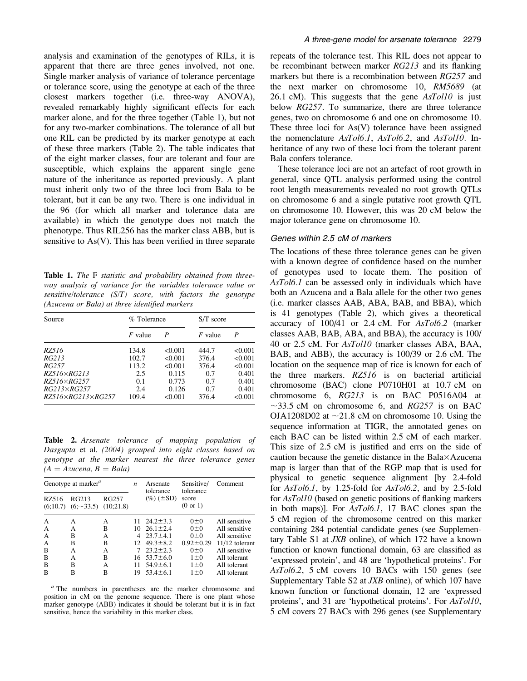analysis and examination of the genotypes of RILs, it is apparent that there are three genes involved, not one. Single marker analysis of variance of tolerance percentage or tolerance score, using the genotype at each of the three closest markers together (i.e. three-way ANOVA), revealed remarkably highly significant effects for each marker alone, and for the three together (Table 1), but not for any two-marker combinations. The tolerance of all but one RIL can be predicted by its marker genotype at each of these three markers (Table 2). The table indicates that of the eight marker classes, four are tolerant and four are susceptible, which explains the apparent single gene nature of the inheritance as reported previously. A plant must inherit only two of the three loci from Bala to be tolerant, but it can be any two. There is one individual in the 96 (for which all marker and tolerance data are available) in which the genotype does not match the phenotype. Thus RIL256 has the marker class ABB, but is sensitive to As(V). This has been verified in three separate

Table 1. The F statistic and probability obtained from threeway analysis of variance for the variables tolerance value or sensitive/tolerance (S/T) score, with factors the genotype (Azucena or Bala) at three identified markers

| Source              | % Tolerance |         | $S/T$ score |         |  |
|---------------------|-------------|---------|-------------|---------|--|
|                     | $F$ value   | P       | $F$ value   | P       |  |
| RZ516               | 134.8       | < 0.001 | 444.7       | < 0.001 |  |
| RG213               | 102.7       | < 0.001 | 376.4       | < 0.001 |  |
| RG257               | 113.2       | < 0.001 | 376.4       | < 0.001 |  |
| $RZ516\times RG213$ | 2.5         | 0.115   | 0.7         | 0.401   |  |
| $RZ516\times RG257$ | 0.1         | 0.773   | 0.7         | 0.401   |  |
| $RG213\times RG257$ | 2.4         | 0.126   | 0.7         | 0.401   |  |
| RZ516×RG213×RG257   | 109.4       | < 0.001 | 376.4       | < 0.001 |  |

Table 2. Arsenate tolerance of mapping population of Dasgupta et al. (2004) grouped into eight classes based on genotype at the marker nearest the three tolerance genes  $(A = Azucena, B = Bala)$ 

| Genotype at marker" |                       | $\boldsymbol{n}$   | Arsenate                     | Sensitive/<br>tolerance | Comment           |                |
|---------------------|-----------------------|--------------------|------------------------------|-------------------------|-------------------|----------------|
| RZ516<br>(6:10.7)   | RG213<br>$(6, -33.5)$ | RG257<br>(10;21.8) | tolerance<br>$(\%) (\pm SD)$ |                         | score<br>(0 or 1) |                |
| A                   | А                     | А                  | 11                           | $24.2 \pm 3.3$          | $0\pm 0$          | All sensitive  |
| А                   | А                     | В                  |                              | $10, 26.1 \pm 2.4$      | $0\pm 0$          | All sensitive  |
| А                   | B                     | A                  | 4                            | $23.7 \pm 4.1$          | $0\pm 0$          | All sensitive  |
| A                   | B                     | В                  | 12 <sub>1</sub>              | $49.3 \pm 8.2$          | $0.92 \pm 0.29$   | 11/12 tolerant |
| B                   | A                     | А                  |                              | $23.2 + 2.3$            | $0\pm 0$          | All sensitive  |
| B                   | A                     | В                  | 16                           | $53.7 \pm 6.0$          | $1\pm 0$          | All tolerant   |
| B                   | B                     | А                  |                              | $54.9 \pm 6.1$          | $1 \pm 0$         | All tolerant   |
| B                   | в                     | в                  | 19                           | $53.4 \pm 6.1$          | $1 \pm 0$         | All tolerant   |

<sup>a</sup> The numbers in parentheses are the marker chromosome and position in cM on the genome sequence. There is one plant whose marker genotype (ABB) indicates it should be tolerant but it is in fact sensitive, hence the variability in this marker class.

repeats of the tolerance test. This RIL does not appear to be recombinant between marker RG213 and its flanking markers but there is a recombination between RG257 and the next marker on chromosome 10, RM5689 (at 26.1 cM). This suggests that the gene  $AsToll0$  is just below RG257. To summarize, there are three tolerance genes, two on chromosome 6 and one on chromosome 10. These three loci for As(V) tolerance have been assigned the nomenclature AsTol6.1, AsTol6.2, and AsTol10. Inheritance of any two of these loci from the tolerant parent Bala confers tolerance.

These tolerance loci are not an artefact of root growth in general, since QTL analysis performed using the control root length measurements revealed no root growth QTLs on chromosome 6 and a single putative root growth QTL on chromosome 10. However, this was 20 cM below the major tolerance gene on chromosome 10.

# Genes within 2.5 cM of markers

The locations of these three tolerance genes can be given with a known degree of confidence based on the number of genotypes used to locate them. The position of AsTol6.1 can be assessed only in individuals which have both an Azucena and a Bala allele for the other two genes (i.e. marker classes AAB, ABA, BAB, and BBA), which is 41 genotypes (Table 2), which gives a theoretical accuracy of 100/41 or 2.4 cM. For AsTol6.2 (marker classes AAB, BAB, ABA, and BBA), the accuracy is 100/ 40 or 2.5 cM. For AsTol10 (marker classes ABA, BAA, BAB, and ABB), the accuracy is 100/39 or 2.6 cM. The location on the sequence map of rice is known for each of the three markers. RZ516 is on bacterial artificial chromosome (BAC) clone P0710H01 at 10.7 cM on chromosome 6, RG213 is on BAC P0516A04 at  $\sim$ 33.5 cM on chromosome 6, and RG257 is on BAC OJA1208D02 at  $\sim$ 21.8 cM on chromosome 10. Using the sequence information at TIGR, the annotated genes on each BAC can be listed within 2.5 cM of each marker. This size of 2.5 cM is justified and errs on the side of caution because the genetic distance in the Bala $\times$ Azucena map is larger than that of the RGP map that is used for physical to genetic sequence alignment [by 2.4-fold for AsTol6.1, by 1.25-fold for AsTol6.2, and by 2.5-fold for AsTol10 (based on genetic positions of flanking markers in both maps)]. For AsTol6.1, 17 BAC clones span the 5 cM region of the chromosome centred on this marker containing 284 potential candidate genes (see Supplementary Table S1 at  $JXB$  online), of which 172 have a known function or known functional domain, 63 are classified as 'expressed protein', and 48 are 'hypothetical proteins'. For AsTol6.2, 5 cM covers 10 BACs with 150 genes (see Supplementary Table S2 at *JXB* online), of which 107 have known function or functional domain, 12 are 'expressed proteins', and 31 are 'hypothetical proteins'. For AsTol10, 5 cM covers 27 BACs with 296 genes (see Supplementary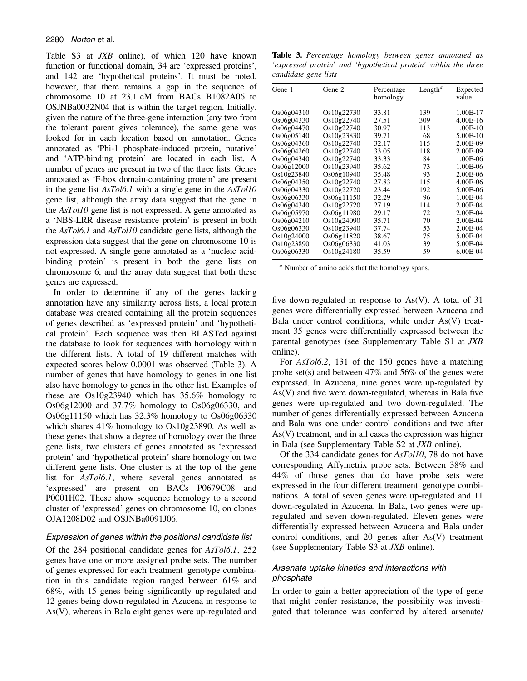Table S3 at *JXB* online), of which 120 have known function or functional domain, 34 are 'expressed proteins', and 142 are 'hypothetical proteins'. It must be noted, however, that there remains a gap in the sequence of chromosome 10 at 23.1 cM from BACs B1082A06 to OSJNBa0032N04 that is within the target region. Initially, given the nature of the three-gene interaction (any two from the tolerant parent gives tolerance), the same gene was looked for in each location based on annotation. Genes annotated as 'Phi-1 phosphate-induced protein, putative' and 'ATP-binding protein' are located in each list. A number of genes are present in two of the three lists. Genes annotated as 'F-box domain-containing protein' are present in the gene list AsTol6.1 with a single gene in the AsTol10 gene list, although the array data suggest that the gene in the AsTol10 gene list is not expressed. A gene annotated as a 'NBS-LRR disease resistance protein' is present in both the AsTol6.1 and AsTol10 candidate gene lists, although the expression data suggest that the gene on chromosome 10 is not expressed. A single gene annotated as a 'nucleic acidbinding protein' is present in both the gene lists on chromosome 6, and the array data suggest that both these genes are expressed.

In order to determine if any of the genes lacking annotation have any similarity across lists, a local protein database was created containing all the protein sequences of genes described as 'expressed protein' and 'hypothetical protein'. Each sequence was then BLASTed against the database to look for sequences with homology within the different lists. A total of 19 different matches with expected scores below 0.0001 was observed (Table 3). A number of genes that have homology to genes in one list also have homology to genes in the other list. Examples of these are Os10g23940 which has 35.6% homology to Os06g12000 and 37.7% homology to Os06g06330, and Os06g11150 which has 32.3% homology to Os06g06330 which shares 41% homology to Os10g23890. As well as these genes that show a degree of homology over the three gene lists, two clusters of genes annotated as 'expressed protein' and 'hypothetical protein' share homology on two different gene lists. One cluster is at the top of the gene list for AsTol6.1, where several genes annotated as 'expressed' are present on BACs P0679C08 and P0001H02. These show sequence homology to a second cluster of 'expressed' genes on chromosome 10, on clones OJA1208D02 and OSJNBa0091J06.

#### Expression of genes within the positional candidate list

Of the 284 positional candidate genes for AsTol6.1, 252 genes have one or more assigned probe sets. The number of genes expressed for each treatment–genotype combination in this candidate region ranged between 61% and 68%, with 15 genes being significantly up-regulated and 12 genes being down-regulated in Azucena in response to As(V), whereas in Bala eight genes were up-regulated and

Table 3. Percentage homology between genes annotated as 'expressed protein' and 'hypothetical protein' within the three candidate gene lists

| Gene 1<br>Gene 2 |            | Percentage<br>homology | Length <sup><math>a</math></sup> | Expected<br>value |  |
|------------------|------------|------------------------|----------------------------------|-------------------|--|
| Os06g04310       | Os10g22730 | 33.81                  | 139                              | 1.00E-17          |  |
| Os06g04330       | Os10g22740 | 27.51                  | 309                              | 4.00E-16          |  |
| Os06g04470       | Os10g22740 | 30.97                  | 113                              | 1.00E-10          |  |
| Os06g05140       | Os10g23830 | 39.71                  | 68                               | 5.00E-10          |  |
| Os06g04360       | Os10g22740 | 32.17                  | 115                              | 2.00E-09          |  |
| Os06g04260       | Os10g22740 | 33.05                  | 118                              | 2.00E-09          |  |
| Os06g04340       | Os10g22740 | 33.33                  | 84                               | 1.00E-06          |  |
| Os06g12000       | Os10g23940 | 35.62                  | 73                               | 1.00E-06          |  |
| Os10g23840       | Os06g10940 | 35.48                  | 93                               | 2.00E-06          |  |
| Os06g04350       | Os10g22740 | 27.83                  | 115                              | 4.00E-06          |  |
| Os06g04330       | Os10g22720 | 23.44                  | 192                              | 5.00E-06          |  |
| Os06g06330       | Os06g11150 | 32.29                  | 96                               | 1.00E-04          |  |
| Os06g04340       | Os10g22720 | 27.19                  | 114                              | 2.00E-04          |  |
| Os06g05970       | Os06g11980 | 29.17                  | 72                               | 2.00E-04          |  |
| Os06g04210       | Os10g24090 | 35.71                  | 70                               | 2.00E-04          |  |
| Os06g06330       | Os10g23940 | 37.74                  | 53                               | 2.00E-04          |  |
| Os10g24000       | Os06g11820 | 38.67                  | 75                               | 5.00E-04          |  |
| Os10g23890       | Os06g06330 | 41.03                  | 39                               | 5.00E-04          |  |
| Os06g06330       | Os10g24180 | 35.59                  | 59                               | 6.00E-04          |  |

 $a<sup>a</sup>$  Number of amino acids that the homology spans.

five down-regulated in response to As(V). A total of 31 genes were differentially expressed between Azucena and Bala under control conditions, while under As(V) treatment 35 genes were differentially expressed between the parental genotypes (see Supplementary Table S1 at JXB online).

For AsTol6.2, 131 of the 150 genes have a matching probe set(s) and between 47% and 56% of the genes were expressed. In Azucena, nine genes were up-regulated by As(V) and five were down-regulated, whereas in Bala five genes were up-regulated and two down-regulated. The number of genes differentially expressed between Azucena and Bala was one under control conditions and two after As(V) treatment, and in all cases the expression was higher in Bala (see Supplementary Table S2 at JXB online).

Of the 334 candidate genes for AsTol10, 78 do not have corresponding Affymetrix probe sets. Between 38% and 44% of those genes that do have probe sets were expressed in the four different treatment–genotype combinations. A total of seven genes were up-regulated and 11 down-regulated in Azucena. In Bala, two genes were upregulated and seven down-regulated. Eleven genes were differentially expressed between Azucena and Bala under control conditions, and 20 genes after As(V) treatment (see Supplementary Table S3 at JXB online).

# Arsenate uptake kinetics and interactions with phosphate

In order to gain a better appreciation of the type of gene that might confer resistance, the possibility was investigated that tolerance was conferred by altered arsenate/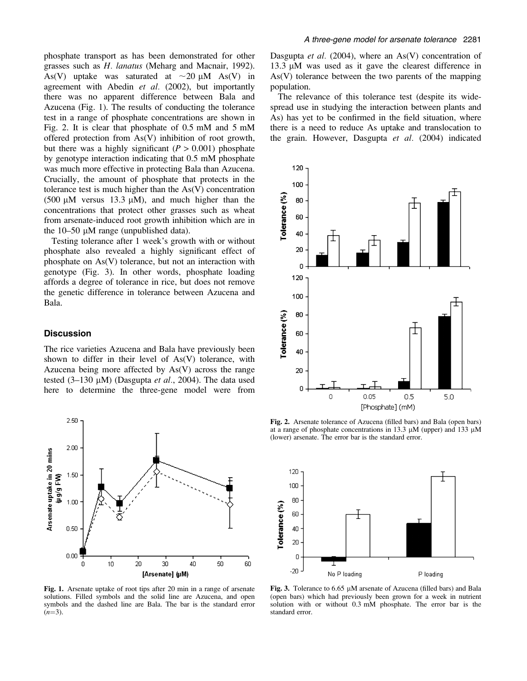phosphate transport as has been demonstrated for other grasses such as H. lanatus (Meharg and Macnair, 1992). As(V) uptake was saturated at  $\sim$ 20 µM As(V) in agreement with Abedin et al. (2002), but importantly there was no apparent difference between Bala and Azucena (Fig. 1). The results of conducting the tolerance test in a range of phosphate concentrations are shown in Fig. 2. It is clear that phosphate of 0.5 mM and 5 mM offered protection from As(V) inhibition of root growth, but there was a highly significant  $(P > 0.001)$  phosphate by genotype interaction indicating that 0.5 mM phosphate was much more effective in protecting Bala than Azucena. Crucially, the amount of phosphate that protects in the tolerance test is much higher than the As(V) concentration  $(500 \mu M$  versus 13.3  $\mu$ M), and much higher than the concentrations that protect other grasses such as wheat from arsenate-induced root growth inhibition which are in the  $10-50 \mu M$  range (unpublished data).

Testing tolerance after 1 week's growth with or without phosphate also revealed a highly significant effect of phosphate on As(V) tolerance, but not an interaction with genotype (Fig. 3). In other words, phosphate loading affords a degree of tolerance in rice, but does not remove the genetic difference in tolerance between Azucena and Bala.

## **Discussion**

The rice varieties Azucena and Bala have previously been shown to differ in their level of As(V) tolerance, with Azucena being more affected by As(V) across the range tested  $(3-130 \mu M)$  (Dasgupta et al., 2004). The data used here to determine the three-gene model were from



13.3 µM was used as it gave the clearest difference in As(V) tolerance between the two parents of the mapping population.

A three-gene model for arsenate tolerance 2281

The relevance of this tolerance test (despite its widespread use in studying the interaction between plants and As) has yet to be confirmed in the field situation, where there is a need to reduce As uptake and translocation to the grain. However, Dasgupta et al. (2004) indicated



Fig. 2. Arsenate tolerance of Azucena (filled bars) and Bala (open bars) at a range of phosphate concentrations in 13.3  $\mu$ M (upper) and 133  $\mu$ M (lower) arsenate. The error bar is the standard error.



Fig. 1. Arsenate uptake of root tips after 20 min in a range of arsenate solutions. Filled symbols and the solid line are Azucena, and open symbols and the dashed line are Bala. The bar is the standard error  $(n=3)$ .

Fig. 3. Tolerance to 6.65 µM arsenate of Azucena (filled bars) and Bala (open bars) which had previously been grown for a week in nutrient solution with or without 0.3 mM phosphate. The error bar is the standard error.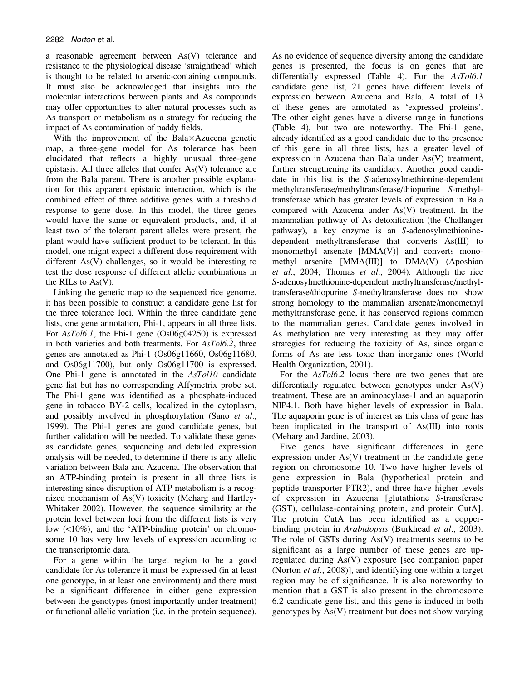a reasonable agreement between As(V) tolerance and resistance to the physiological disease 'straighthead' which is thought to be related to arsenic-containing compounds. It must also be acknowledged that insights into the molecular interactions between plants and As compounds may offer opportunities to alter natural processes such as As transport or metabolism as a strategy for reducing the impact of As contamination of paddy fields.

With the improvement of the Bala $\times$ Azucena genetic map, a three-gene model for As tolerance has been elucidated that reflects a highly unusual three-gene epistasis. All three alleles that confer As(V) tolerance are from the Bala parent. There is another possible explanation for this apparent epistatic interaction, which is the combined effect of three additive genes with a threshold response to gene dose. In this model, the three genes would have the same or equivalent products, and, if at least two of the tolerant parent alleles were present, the plant would have sufficient product to be tolerant. In this model, one might expect a different dose requirement with different As(V) challenges, so it would be interesting to test the dose response of different allelic combinations in the RILs to As(V).

Linking the genetic map to the sequenced rice genome, it has been possible to construct a candidate gene list for the three tolerance loci. Within the three candidate gene lists, one gene annotation, Phi-1, appears in all three lists. For AsTol6.1, the Phi-1 gene (Os06g04250) is expressed in both varieties and both treatments. For AsTol6.2, three genes are annotated as Phi-1 (Os06g11660, Os06g11680, and Os06g11700), but only Os06g11700 is expressed. One Phi-1 gene is annotated in the AsTol10 candidate gene list but has no corresponding Affymetrix probe set. The Phi-1 gene was identified as a phosphate-induced gene in tobacco BY-2 cells, localized in the cytoplasm, and possibly involved in phosphorylation (Sano et al., 1999). The Phi-1 genes are good candidate genes, but further validation will be needed. To validate these genes as candidate genes, sequencing and detailed expression analysis will be needed, to determine if there is any allelic variation between Bala and Azucena. The observation that an ATP-binding protein is present in all three lists is interesting since disruption of ATP metabolism is a recognized mechanism of As(V) toxicity (Meharg and Hartley-Whitaker 2002). However, the sequence similarity at the protein level between loci from the different lists is very low (<10%), and the 'ATP-binding protein' on chromosome 10 has very low levels of expression according to the transcriptomic data.

For a gene within the target region to be a good candidate for As tolerance it must be expressed (in at least one genotype, in at least one environment) and there must be a significant difference in either gene expression between the genotypes (most importantly under treatment) or functional allelic variation (i.e. in the protein sequence). As no evidence of sequence diversity among the candidate genes is presented, the focus is on genes that are differentially expressed (Table 4). For the AsTol6.1 candidate gene list, 21 genes have different levels of expression between Azucena and Bala. A total of 13 of these genes are annotated as 'expressed proteins'. The other eight genes have a diverse range in functions (Table 4), but two are noteworthy. The Phi-1 gene, already identified as a good candidate due to the presence of this gene in all three lists, has a greater level of expression in Azucena than Bala under As(V) treatment, further strengthening its candidacy. Another good candidate in this list is the S-adenosylmethionine-dependent methyltransferase/methyltransferase/thiopurine S-methyltransferase which has greater levels of expression in Bala compared with Azucena under As(V) treatment. In the mammalian pathway of As detoxification (the Challanger pathway), a key enzyme is an S-adenosylmethioninedependent methyltransferase that converts As(III) to monomethyl arsenate [MMA(V)] and converts monomethyl arsenite [MMA(III)] to DMA(V) (Aposhian et al., 2004; Thomas et al., 2004). Although the rice S-adenosylmethionine-dependent methyltransferase/methyltransferase/thiopurine S-methyltransferase does not show strong homology to the mammalian arsenate/monomethyl methyltransferase gene, it has conserved regions common to the mammalian genes. Candidate genes involved in As methylation are very interesting as they may offer strategies for reducing the toxicity of As, since organic forms of As are less toxic than inorganic ones (World Health Organization, 2001).

For the AsTol6.2 locus there are two genes that are differentially regulated between genotypes under As(V) treatment. These are an aminoacylase-1 and an aquaporin NIP4.1. Both have higher levels of expression in Bala. The aquaporin gene is of interest as this class of gene has been implicated in the transport of As(III) into roots (Meharg and Jardine, 2003).

Five genes have significant differences in gene expression under  $As(V)$  treatment in the candidate gene region on chromosome 10. Two have higher levels of gene expression in Bala (hypothetical protein and peptide transporter PTR2), and three have higher levels of expression in Azucena [glutathione S-transferase (GST), cellulase-containing protein, and protein CutA]. The protein CutA has been identified as a copperbinding protein in Arabidopsis (Burkhead et al., 2003). The role of GSTs during  $As(V)$  treatments seems to be significant as a large number of these genes are upregulated during As(V) exposure [see companion paper (Norton et al., 2008)], and identifying one within a target region may be of significance. It is also noteworthy to mention that a GST is also present in the chromosome 6.2 candidate gene list, and this gene is induced in both genotypes by As(V) treatment but does not show varying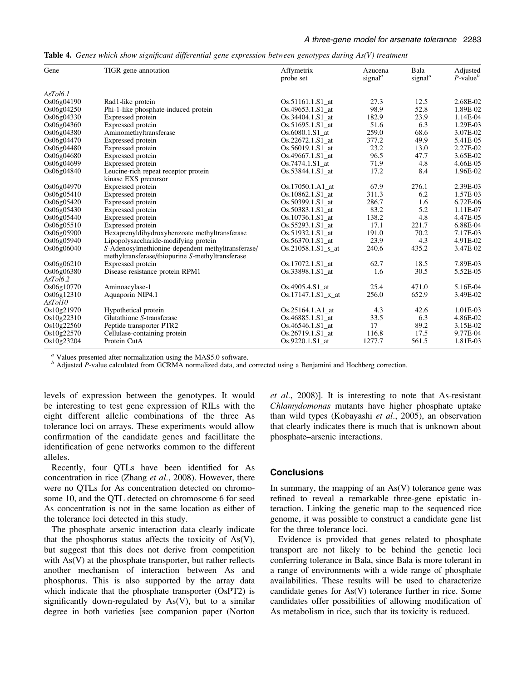|  |  |  |  |  |  | Table 4. Genes which show significant differential gene expression between genotypes during As(V) treatment |
|--|--|--|--|--|--|-------------------------------------------------------------------------------------------------------------|
|--|--|--|--|--|--|-------------------------------------------------------------------------------------------------------------|

| Gene                   | TIGR gene annotation                                                                                  | Affymetrix<br>probe set        | Azucena<br>signal <sup><math>a</math></sup> | Bala<br>signal <sup><math>a</math></sup> | Adjusted<br>$P$ -value $^b$ |
|------------------------|-------------------------------------------------------------------------------------------------------|--------------------------------|---------------------------------------------|------------------------------------------|-----------------------------|
| AsTol6.1               |                                                                                                       |                                |                                             |                                          |                             |
| Os06g04190             | Rad1-like protein                                                                                     | Os.51161.1.S1_at               | 27.3                                        | 12.5                                     | 2.68E-02                    |
| Os06g04250             | Phi-1-like phosphate-induced protein                                                                  | Os.49653.1.S1 at               | 98.9                                        | 52.8                                     | 1.89E-02                    |
| Os06g04330             | Expressed protein                                                                                     | Os.34404.1.S1 at               | 182.9                                       | 23.9                                     | 1.14E-04                    |
| Os06g04360             | Expressed protein                                                                                     | Os.51695.1.S1 at               | 51.6                                        | 6.3                                      | 1.29E-03                    |
| Os06g04380             | Aminomethyltransferase                                                                                | Os.6080.1.S1 at                | 259.0                                       | 68.6                                     | 3.07E-02                    |
| Os06g04470             | Expressed protein                                                                                     | Os.22672.1.S1 at               | 377.2                                       | 49.9                                     | 5.41E-05                    |
| Os06g04480             | Expressed protein                                                                                     | Os.56019.1.S1 at               | 23.2                                        | 13.0                                     | 2.27E-02                    |
| Os06g04680             | Expressed protein                                                                                     | Os.49667.1.S1 at               | 96.5                                        | 47.7                                     | 3.65E-02                    |
| Os06g04699             | Expressed protein                                                                                     | $Os.7474.1.S1$ at              | 71.9                                        | 4.8                                      | 4.66E-05                    |
| Os06g04840             | Leucine-rich repeat receptor protein<br>kinase EXS precursor                                          | Os.53844.1.S1_at               | 17.2                                        | 8.4                                      | 1.96E-02                    |
| Os06g04970             | Expressed protein                                                                                     | Os.17050.1.A1 at               | 67.9                                        | 276.1                                    | 2.39E-03                    |
| Os06g05410             | Expressed protein                                                                                     | Os.10862.1.S1 at               | 311.3                                       | 6.2                                      | 1.57E-03                    |
| Os06g05420             | Expressed protein                                                                                     | Os.50399.1.S1 at               | 286.7                                       | 1.6                                      | 6.72E-06                    |
| Os06g05430             | Expressed protein                                                                                     | Os.50383.1.S1 at               | 83.2                                        | 5.2                                      | 1.11E-07                    |
| Os06g05440             | Expressed protein                                                                                     | Os.10736.1.S1_at               | 138.2                                       | 4.8                                      | 4.47E-05                    |
| Os06g05510             | Expressed protein                                                                                     | Os.55293.1.S1_at               | 17.1                                        | 221.7                                    | 6.88E-04                    |
| Os06g05900             | Hexaprenyldihydroxybenzoate methyltransferase                                                         | Os.51932.1.S1 at               | 191.0                                       | 70.2                                     | 7.17E-03                    |
| Os06g05940             | Lipopolysaccharide-modifying protein                                                                  | Os.56370.1.S1 at               | 23.9                                        | 4.3                                      | 4.91E-02                    |
| Os06g06040             | S-Adenosylmethionine-dependent methyltransferase/<br>methyltransferase/thiopurine S-methyltransferase | $Os.21058.1.S1_s at$           | 240.6                                       | 435.2                                    | 3.47E-02                    |
| Os06g06210             | Expressed protein                                                                                     | Os.17072.1.S1 at               | 62.7                                        | 18.5                                     | 7.89E-03                    |
| Os06g06380<br>AsTol6.2 | Disease resistance protein RPM1                                                                       | Os.33898.1.S1 at               | 1.6                                         | 30.5                                     | 5.52E-05                    |
| Os06g10770             | Aminoacylase-1                                                                                        | Os.4905.4.S1_at                | 25.4                                        | 471.0                                    | 5.16E-04                    |
| Os06g12310<br>AsTol10  | Aquaporin NIP4.1                                                                                      | $Os.17147.1.S1 \times at$      | 256.0                                       | 652.9                                    | 3.49E-02                    |
| Os10g21970             | Hypothetical protein                                                                                  | Os.25164.1.A1_at               | 4.3                                         | 42.6                                     | 1.01E-03                    |
| Os10g22310             | Glutathione S-transferase                                                                             | Os.46885.1.S1_at               | 33.5                                        | 6.3                                      | 4.86E-02                    |
| Os10g22560             | Peptide transporter PTR2                                                                              | $Os.46546.1.S1$ <sub>_at</sub> | 17                                          | 89.2                                     | 3.15E-02                    |
| Os10g22570             | Cellulase-containing protein                                                                          | Os.26719.1.S1 at               | 116.8                                       | 17.5                                     | 9.77E-04                    |
| Os10g23204             | Protein CutA                                                                                          | Os.9220.1.S1_at                | 1277.7                                      | 561.5                                    | 1.81E-03                    |

<sup>a</sup> Values presented after normalization using the MAS5.0 software.<br><sup>b</sup> Adjusted P-value calculated from GCRMA normalized data, and corrected using a Benjamini and Hochberg correction.

levels of expression between the genotypes. It would be interesting to test gene expression of RILs with the eight different allelic combinations of the three As tolerance loci on arrays. These experiments would allow confirmation of the candidate genes and facillitate the identification of gene networks common to the different alleles.

Recently, four QTLs have been identified for As concentration in rice (Zhang et al., 2008). However, there were no QTLs for As concentration detected on chromosome 10, and the QTL detected on chromosome 6 for seed As concentration is not in the same location as either of the tolerance loci detected in this study.

The phosphate–arsenic interaction data clearly indicate that the phosphorus status affects the toxicity of  $As(V)$ , but suggest that this does not derive from competition with As(V) at the phosphate transporter, but rather reflects another mechanism of interaction between As and phosphorus. This is also supported by the array data which indicate that the phosphate transporter (OsPT2) is significantly down-regulated by  $As(V)$ , but to a similar degree in both varieties [see companion paper (Norton et al., 2008)]. It is interesting to note that As-resistant Chlamydomonas mutants have higher phosphate uptake than wild types (Kobayashi et al., 2005), an observation that clearly indicates there is much that is unknown about phosphate–arsenic interactions.

## **Conclusions**

In summary, the mapping of an  $As(V)$  tolerance gene was refined to reveal a remarkable three-gene epistatic interaction. Linking the genetic map to the sequenced rice genome, it was possible to construct a candidate gene list for the three tolerance loci.

Evidence is provided that genes related to phosphate transport are not likely to be behind the genetic loci conferring tolerance in Bala, since Bala is more tolerant in a range of environments with a wide range of phosphate availabilities. These results will be used to characterize candidate genes for As(V) tolerance further in rice. Some candidates offer possibilities of allowing modification of As metabolism in rice, such that its toxicity is reduced.